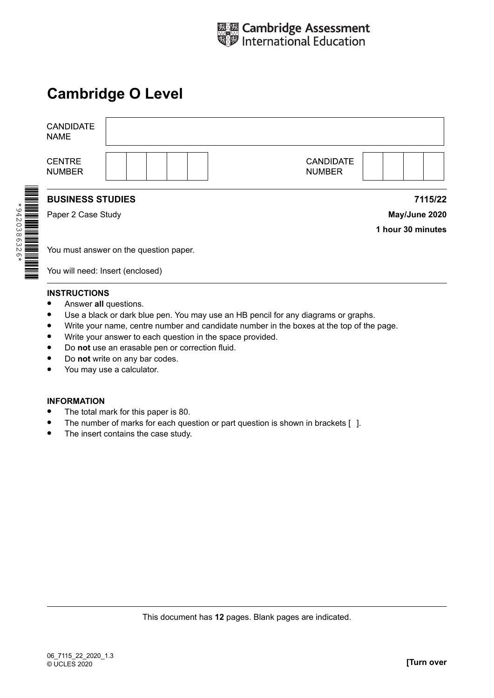

# **Cambridge O Level**

| <b>CANDIDATE</b><br><b>NAME</b>        |  |                                   |  |  |
|----------------------------------------|--|-----------------------------------|--|--|
| <b>CENTRE</b><br><b>NUMBER</b>         |  | <b>CANDIDATE</b><br><b>NUMBER</b> |  |  |
| <b>BUSINESS STUDIES</b><br>7115/22     |  |                                   |  |  |
| Paper 2 Case Study                     |  | May/June 2020                     |  |  |
|                                        |  | 1 hour 30 minutes                 |  |  |
| You must answer on the question paper. |  |                                   |  |  |

You will need: Insert (enclosed)

#### **INSTRUCTIONS**

- **•** Answer **all** questions.
- **•** Use a black or dark blue pen. You may use an HB pencil for any diagrams or graphs.
- **•** Write your name, centre number and candidate number in the boxes at the top of the page.
- **•** Write your answer to each question in the space provided.
- **•** Do **not** use an erasable pen or correction fluid.
- **•** Do **not** write on any bar codes.<br>• You may use a calculator
- **•** You may use a calculator.

#### **INFORMATION**

- **•** The total mark for this paper is 80.
- The number of marks for each question or part question is shown in brackets [ ].<br>• The insert contains the case study
- **•** The insert contains the case study.

This document has **12** pages. Blank pages are indicated.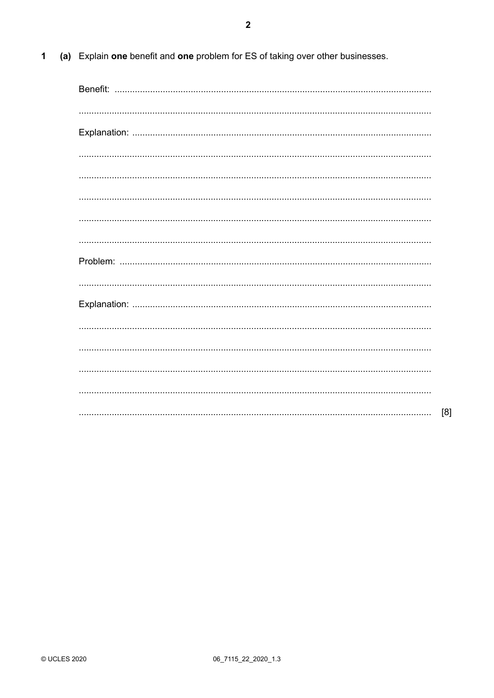(a) Explain one benefit and one problem for ES of taking over other businesses.  $\mathbf 1$ 

| [8] |
|-----|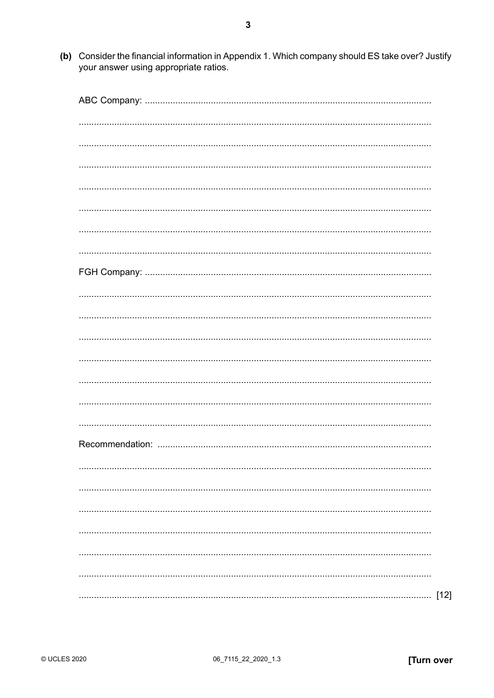(b) Consider the financial information in Appendix 1. Which company should ES take over? Justify your answer using appropriate ratios.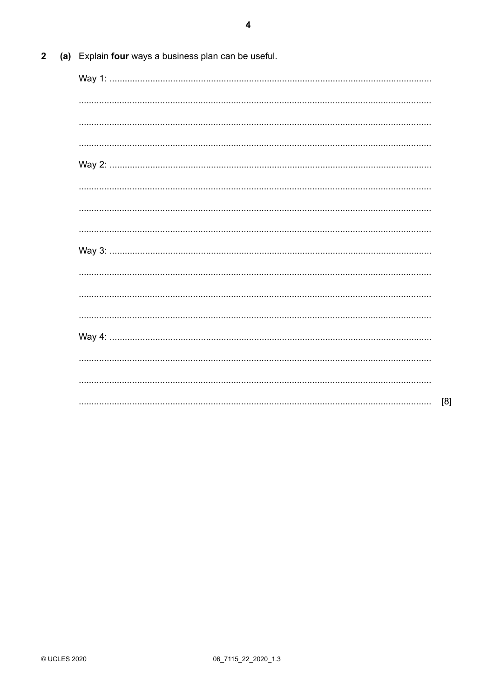(a) Explain four ways a business plan can be useful. 

 $\overline{2}$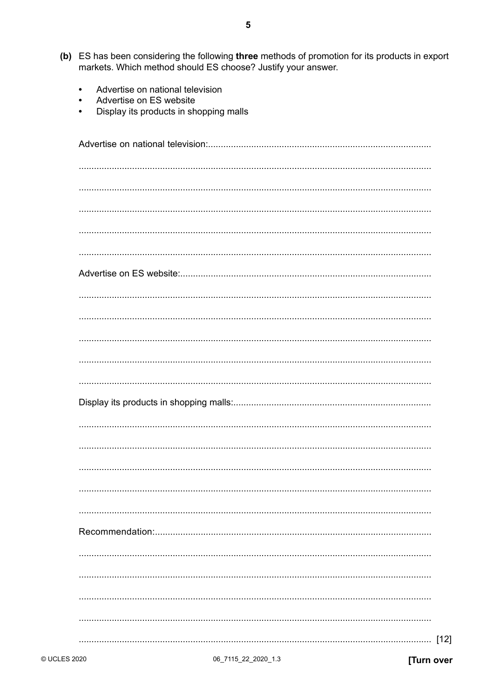- (b) ES has been considering the following three methods of promotion for its products in export markets. Which method should ES choose? Justify your answer.
	- Advertise on national television  $\bullet$
	- Advertise on ES website  $\bullet$
	- Display its products in shopping malls  $\bullet$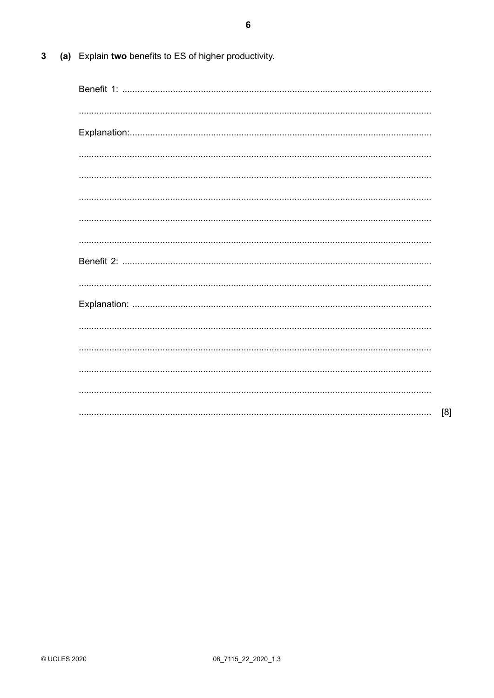(a) Explain two benefits to ES of higher productivity.  $\overline{\mathbf{3}}$ 

| [8] |
|-----|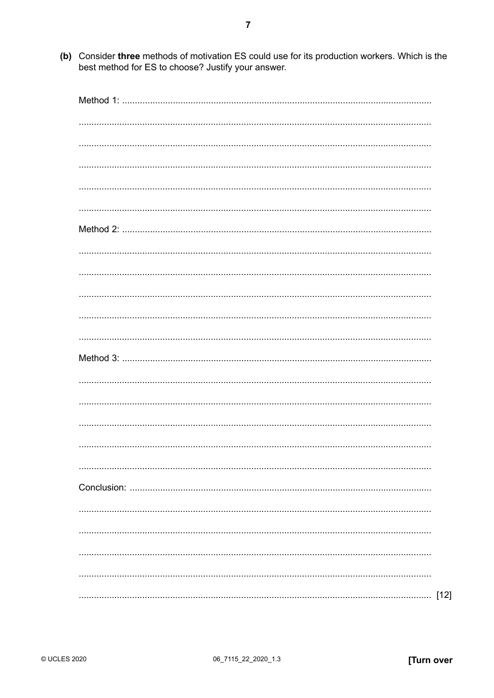(b) Consider three methods of motivation ES could use for its production workers. Which is the best method for ES to choose? Justify your answer.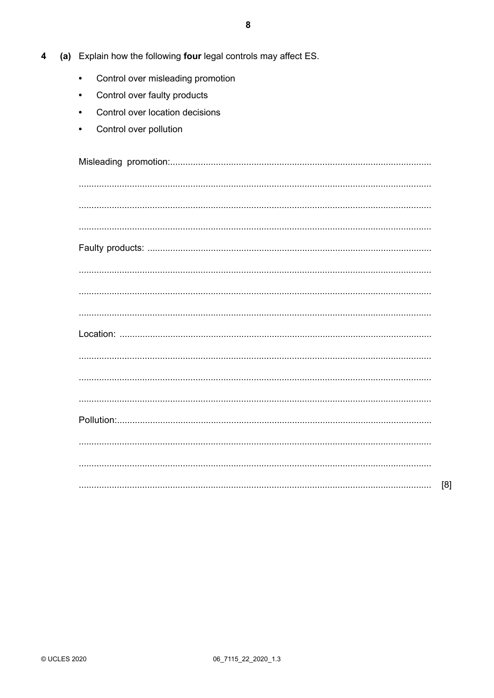- (a) Explain how the following four legal controls may affect ES.  $\overline{\mathbf{4}}$ 
	- Control over misleading promotion  $\bullet$
	- Control over faulty products  $\bullet$
	- Control over location decisions  $\bullet$
	- Control over pollution  $\bullet$

 $[8]$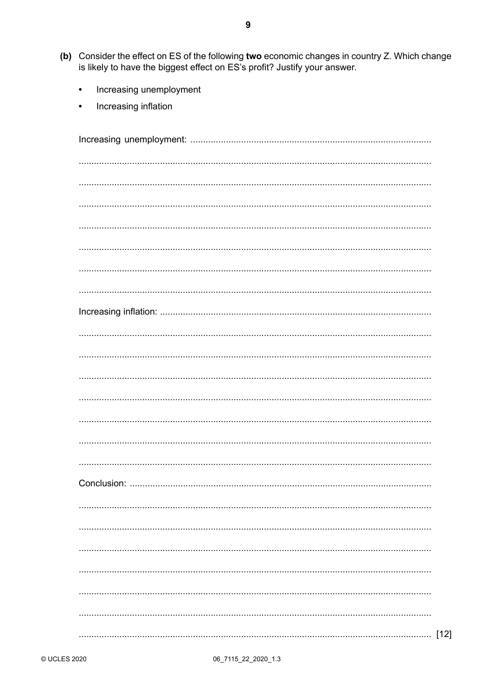- (b) Consider the effect on ES of the following two economic changes in country Z. Which change is likely to have the biggest effect on ES's profit? Justify your answer.
	- Increasing unemployment  $\bullet$
	- Increasing inflation  $\bullet$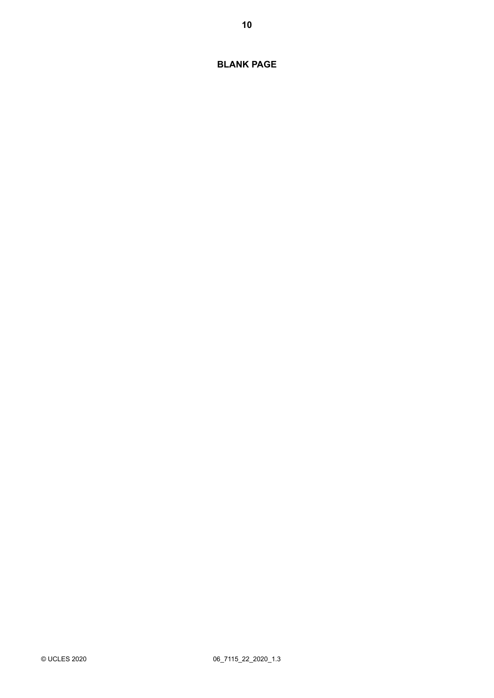# **BLANK PAGE**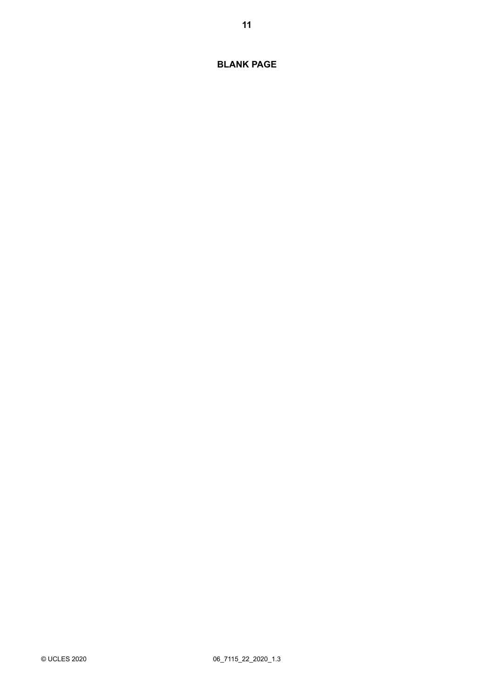# **BLANK PAGE**